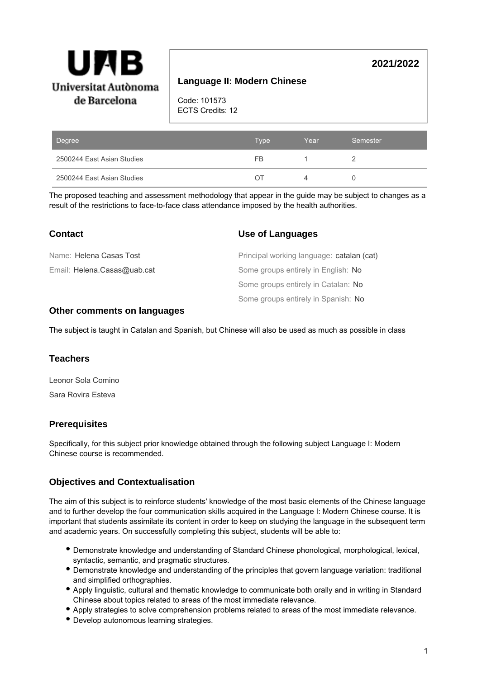

# **Language II: Modern Chinese**

Code: 101573 ECTS Credits: 12

| Degree                     | <b>Type</b> | Year | Semester |
|----------------------------|-------------|------|----------|
| 2500244 East Asian Studies | FB          |      |          |
| 2500244 East Asian Studies | ()          |      |          |

The proposed teaching and assessment methodology that appear in the guide may be subject to changes as a result of the restrictions to face-to-face class attendance imposed by the health authorities.

| <b>Contact</b>              | Use of Languages                          |
|-----------------------------|-------------------------------------------|
| Name: Helena Casas Tost     | Principal working language: catalan (cat) |
| Email: Helena.Casas@uab.cat | Some groups entirely in English: No       |
|                             | Some groups entirely in Catalan: No       |
|                             | Some groups entirely in Spanish: No       |

### **Other comments on languages**

The subject is taught in Catalan and Spanish, but Chinese will also be used as much as possible in class

### **Teachers**

Leonor Sola Comino Sara Rovira Esteva

### **Prerequisites**

Specifically, for this subject prior knowledge obtained through the following subject Language I: Modern Chinese course is recommended.

### **Objectives and Contextualisation**

The aim of this subject is to reinforce students' knowledge of the most basic elements of the Chinese language and to further develop the four communication skills acquired in the Language I: Modern Chinese course. It is important that students assimilate its content in order to keep on studying the language in the subsequent term and academic years. On successfully completing this subject, students will be able to:

- Demonstrate knowledge and understanding of Standard Chinese phonological, morphological, lexical, syntactic, semantic, and pragmatic structures.
- Demonstrate knowledge and understanding of the principles that govern language variation: traditional and simplified orthographies.
- Apply linguistic, cultural and thematic knowledge to communicate both orally and in writing in Standard Chinese about topics related to areas of the most immediate relevance.
- Apply strategies to solve comprehension problems related to areas of the most immediate relevance.
- Develop autonomous learning strategies.

# **2021/2022**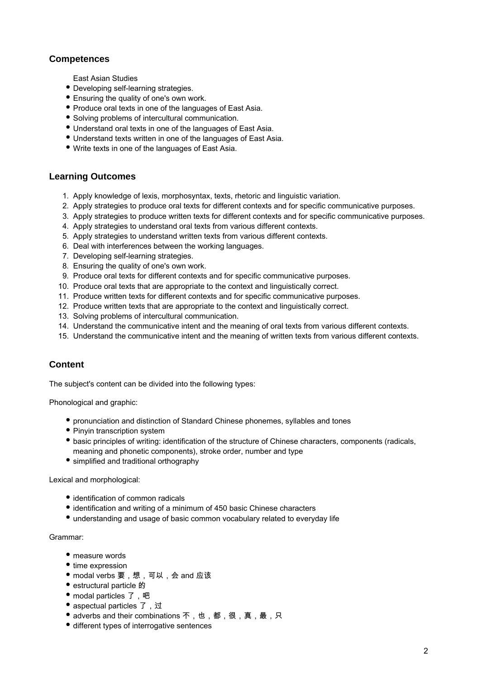# **Competences**

East Asian Studies

- Developing self-learning strategies.
- Ensuring the quality of one's own work.
- Produce oral texts in one of the languages of East Asia.
- Solving problems of intercultural communication.
- Understand oral texts in one of the languages of East Asia.
- Understand texts written in one of the languages of East Asia.
- Write texts in one of the languages of East Asia.

### **Learning Outcomes**

- 1. Apply knowledge of lexis, morphosyntax, texts, rhetoric and linguistic variation.
- 2. Apply strategies to produce oral texts for different contexts and for specific communicative purposes.
- 3. Apply strategies to produce written texts for different contexts and for specific communicative purposes.
- 4. Apply strategies to understand oral texts from various different contexts.
- 5. Apply strategies to understand written texts from various different contexts.
- 6. Deal with interferences between the working languages.
- 7. Developing self-learning strategies.
- 8. Ensuring the quality of one's own work.
- 9. Produce oral texts for different contexts and for specific communicative purposes.
- 10. Produce oral texts that are appropriate to the context and linguistically correct.
- 11. Produce written texts for different contexts and for specific communicative purposes.
- 12. Produce written texts that are appropriate to the context and linguistically correct.
- 13. Solving problems of intercultural communication.
- 14. Understand the communicative intent and the meaning of oral texts from various different contexts.
- 15. Understand the communicative intent and the meaning of written texts from various different contexts.

# **Content**

The subject's content can be divided into the following types:

Phonological and graphic:

- pronunciation and distinction of Standard Chinese phonemes, syllables and tones
- Pinyin transcription system
- basic principles of writing: identification of the structure of Chinese characters, components (radicals, meaning and phonetic components), stroke order, number and type
- simplified and traditional orthography

Lexical and morphological:

- identification of common radicals
- identification and writing of a minimum of 450 basic Chinese characters
- understanding and usage of basic common vocabulary related to everyday life

#### Grammar:

- measure words
- time expression
- modal verbs 要,想,可以,会 and 应该
- estructural particle 的
- modal particles 了, 吧
- aspectual particles 了, 过
- adverbs and their combinations 不,也,都,很,真,最,只
- $\bullet$  different types of interrogative sentences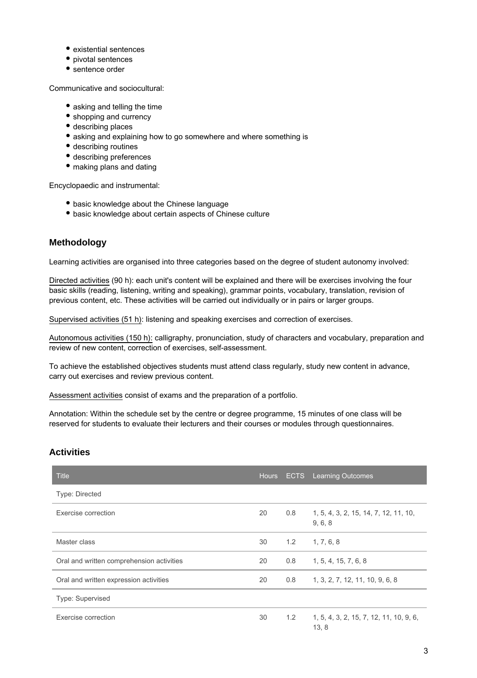- existential sentences
- pivotal sentences
- sentence order

Communicative and sociocultural:

- asking and telling the time
- shopping and currency
- describing places
- asking and explaining how to go somewhere and where something is
- describing routines
- describing preferences
- making plans and dating

Encyclopaedic and instrumental:

- basic knowledge about the Chinese language
- basic knowledge about certain aspects of Chinese culture

## **Methodology**

Learning activities are organised into three categories based on the degree of student autonomy involved:

Directed activities (90 h): each unit's content will be explained and there will be exercises involving the four basic skills (reading, listening, writing and speaking), grammar points, vocabulary, translation, revision of previous content, etc. These activities will be carried out individually or in pairs or larger groups.

Supervised activities (51 h): listening and speaking exercises and correction of exercises.

Autonomous activities (150 h): calligraphy, pronunciation, study of characters and vocabulary, preparation and review of new content, correction of exercises, self-assessment.

To achieve the established objectives students must attend class regularly, study new content in advance, carry out exercises and review previous content.

Assessment activities consist of exams and the preparation of a portfolio.

Annotation: Within the schedule set by the centre or degree programme, 15 minutes of one class will be reserved for students to evaluate their lecturers and their courses or modules through questionnaires.

### **Activities**

| <b>Title</b>                              |    |     | Hours ECTS Learning Outcomes                     |
|-------------------------------------------|----|-----|--------------------------------------------------|
| <b>Type: Directed</b>                     |    |     |                                                  |
| Exercise correction                       | 20 | 0.8 | 1, 5, 4, 3, 2, 15, 14, 7, 12, 11, 10,<br>9, 6, 8 |
| Master class                              | 30 | 1.2 | 1, 7, 6, 8                                       |
| Oral and written comprehension activities | 20 | 0.8 | 1, 5, 4, 15, 7, 6, 8                             |
| Oral and written expression activities    | 20 | 0.8 | 1, 3, 2, 7, 12, 11, 10, 9, 6, 8                  |
| Type: Supervised                          |    |     |                                                  |
| Exercise correction                       | 30 | 1.2 | 1, 5, 4, 3, 2, 15, 7, 12, 11, 10, 9, 6,<br>13, 8 |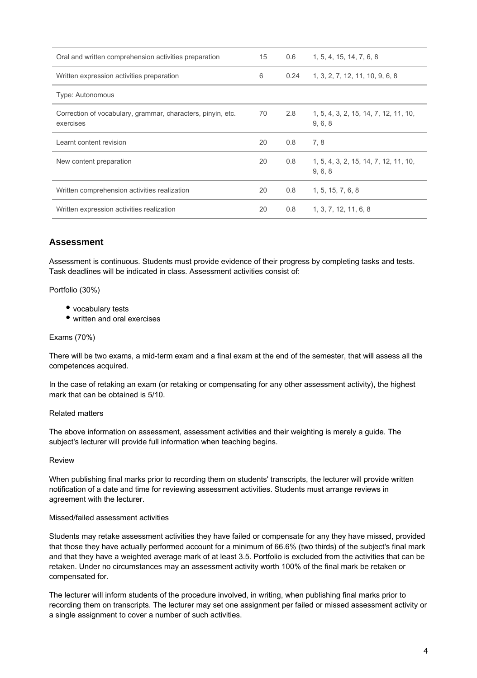| Oral and written comprehension activities preparation                    | 15 | 0.6  | 1, 5, 4, 15, 14, 7, 6, 8                         |
|--------------------------------------------------------------------------|----|------|--------------------------------------------------|
| Written expression activities preparation                                | 6  | 0.24 | 1, 3, 2, 7, 12, 11, 10, 9, 6, 8                  |
| Type: Autonomous                                                         |    |      |                                                  |
| Correction of vocabulary, grammar, characters, pinyin, etc.<br>exercises | 70 | 2.8  | 1, 5, 4, 3, 2, 15, 14, 7, 12, 11, 10,<br>9, 6, 8 |
| Learnt content revision                                                  | 20 | 0.8  | 7.8                                              |
| New content preparation                                                  | 20 | 0.8  | 1, 5, 4, 3, 2, 15, 14, 7, 12, 11, 10,<br>9, 6, 8 |
| Written comprehension activities realization                             | 20 | 0.8  | 1, 5, 15, 7, 6, 8                                |
| Written expression activities realization                                | 20 | 0.8  | 1, 3, 7, 12, 11, 6, 8                            |

### **Assessment**

Assessment is continuous. Students must provide evidence of their progress by completing tasks and tests. Task deadlines will be indicated in class. Assessment activities consist of:

Portfolio (30%)

- vocabulary tests
- written and oral exercises

#### Exams (70%)

There will be two exams, a mid-term exam and a final exam at the end of the semester, that will assess all the competences acquired.

In the case of retaking an exam (or retaking or compensating for any other assessment activity), the highest mark that can be obtained is 5/10.

#### Related matters

The above information on assessment, assessment activities and their weighting is merely a guide. The subject's lecturer will provide full information when teaching begins.

#### Review

When publishing final marks prior to recording them on students' transcripts, the lecturer will provide written notification of a date and time for reviewing assessment activities. Students must arrange reviews in agreement with the lecturer.

#### Missed/failed assessment activities

Students may retake assessment activities they have failed or compensate for any they have missed, provided that those they have actually performed account for a minimum of 66.6% (two thirds) of the subject's final mark and that they have a weighted average mark of at least 3.5. Portfolio is excluded from the activities that can be retaken. Under no circumstances may an assessment activity worth 100% of the final mark be retaken or compensated for.

The lecturer will inform students of the procedure involved, in writing, when publishing final marks prior to recording them on transcripts. The lecturer may set one assignment per failed or missed assessment activity or a single assignment to cover a number of such activities.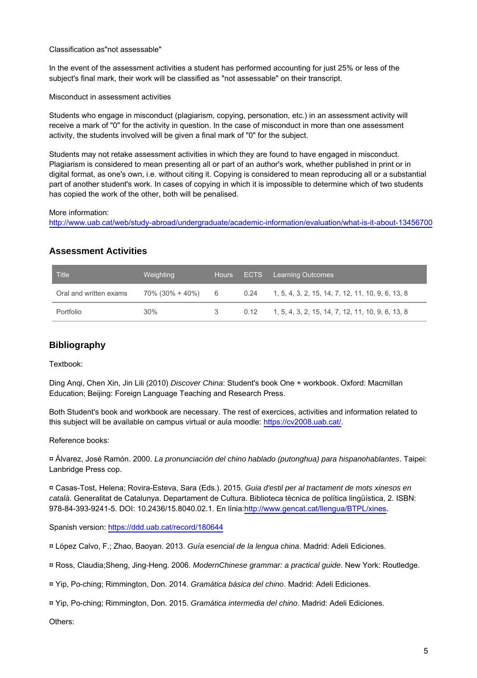#### Classification as"not assessable"

In the event of the assessment activities a student has performed accounting for just 25% or less of the subject's final mark, their work will be classified as "not assessable" on their transcript.

Misconduct in assessment activities

Students who engage in misconduct (plagiarism, copying, personation, etc.) in an assessment activity will receive a mark of "0" for the activity in question. In the case of misconduct in more than one assessment activity, the students involved will be given a final mark of "0" for the subject.

Students may not retake assessment activities in which they are found to have engaged in misconduct. Plagiarism is considered to mean presenting all or part of an author's work, whether published in print or in digital format, as one's own, i.e. without citing it. Copying is considered to mean reproducing all or a substantial part of another student's work. In cases of copying in which it is impossible to determine which of two students has copied the work of the other, both will be penalised.

More information:

http://www.uab.cat/web/study-abroad/undergraduate/academic-information/evaluation/what-is-it-about-13456700

### **Assessment Activities**

| Title                  | Weighting       |     | Hours ECTS Learning Outcomes                             |
|------------------------|-----------------|-----|----------------------------------------------------------|
| Oral and written exams | 70% (30% + 40%) |     | 6 0.24 1, 5, 4, 3, 2, 15, 14, 7, 12, 11, 10, 9, 6, 13, 8 |
| Portfolio              | $30\%$          | -3- | $0.12$ 1, 5, 4, 3, 2, 15, 14, 7, 12, 11, 10, 9, 6, 13, 8 |

### **Bibliography**

Textbook:

Ding Anqi, Chen Xin, Jin Lili (2010) Discover China: Student's book One + workbook. Oxford: Macmillan Education; Beijing: Foreign Language Teaching and Research Press.

Both Student's book and workbook are necessary. The rest of exercices, activities and information related to this subject will be available on campus virtual or aula moodle: <https://cv2008.uab.cat/>.

Reference books:

¤ Álvarez, José Ramón. 2000. La pronunciación del chino hablado (putonghua) para hispanohablantes. Taipei: Lanbridge Press cop.

¤ Casas-Tost, Helena; Rovira-Esteva, Sara (Eds.). 2015. Guia d'estil per al tractament de mots xinesos en català. Generalitat de Catalunya. Departament de Cultura. Biblioteca tècnica de política lingüística, 2. ISBN: 978-84-393-9241-5. DOI: 10.2436/15.8040.02.1. En línia[:http://www.gencat.cat/llengua/BTPL/xines.](http://www.google.com/url?q=http%3A%2F%2Fwww.gencat.cat%2Fllengua%2FBTPL%2Fxines&sa=D&sntz=1&usg=AFQjCNFOTBYjWuV4mW2018ontF4gBh3MZg)

Spanish version: <https://ddd.uab.cat/record/180644>

¤ López Calvo, F.; Zhao, Baoyan. 2013. Guía esencial de la lengua china. Madrid: Adeli Ediciones.

¤ Ross, Claudia;Sheng, Jing-Heng. 2006. ModernChinese grammar: a practical guide. New York: Routledge.

¤ Yip, Po-ching; Rimmington, Don. 2014. Gramática básica del chino. Madrid: Adeli Ediciones.

¤ Yip, Po-ching; Rimmington, Don. 2015. Gramática intermedia del chino. Madrid: Adeli Ediciones.

Others: